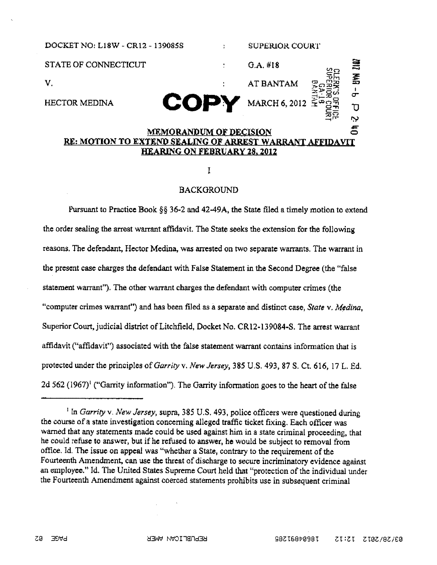

I

## BACKGROUND

Pursuant to Practice Book  $\S$ § 36-2 and 42-49A, the State filed a timely motion to extend the order sealing the arrest warrant affidavit. The State seeks the extension for the following reasons, The defendant, Hector Medina, was arrested on two separate warrants, The warrant in the present case charges the defendant with False Statement in the Second Degree (the "false statement warrant"). The other warrant charges the defendant with computer crimes (the "computer crimes warrant") and has been filed as a separate and distinct case, State v. Medina, Superior Court, judicial district of Litchfield, Docket No. CR12-139084-S. The arrest warrant affidavit ("affidavit") associated with the false statement warrant contains information that is protected under the principles of Garrity v. New Jersey, 385 U.S. 493, 87 S. Ct. 616, 17 L. Ed. 2d 562 (1967)<sup>1</sup> ("Garrity information"). The Garrity information goes to the heart of the false

<sup>&</sup>lt;sup>1</sup> In Garrity v. New Jersey, supra, 385 U.S. 493, police officers were questioned during the course of a state investigation concerning alleged traffic ticket fixing. Each officer was warned that any statements made could be used against him in a state criminal proceeding, that he could refuse to answer, but if he refused to answer, he would be subject to removal from office. Id. The issue on appeal was "whether a State, contrary to the requirement of the Fourteenth Amendment, can use the threat of discharge to secure incriminatory evidence against an employee." Id. The United States Supreme Court held that "protection of the individual under the Fourteenth Amendment against coerced statements prohibits use in subsequent criminal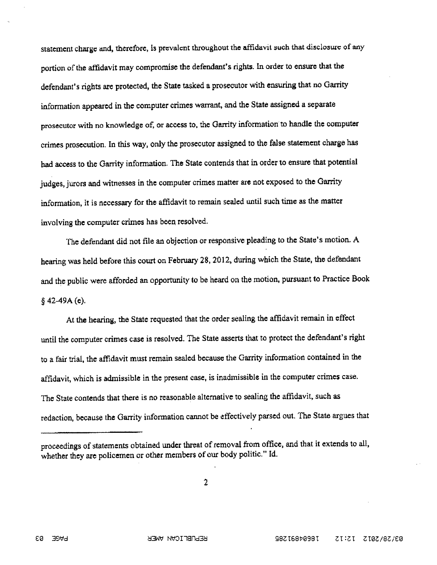statement charge and, therefore, is prevalcnt throughout the affidavit such that disclosure of any portion of the affidavit may compromise the defendant's rights. In order to ensure that the defendant's rights are protected, the State tasked <sup>a</sup> prosecutor with ensuring that no Garrity information appeare<sup>d</sup> in the computer crimes warrant, and the State assigned <sup>a</sup> separate prosecutor with no knowledge of, or access to, the Garrity information to handle the computer crimes prosecution. In this way, only the prosecutor assigned to the false statement charge has had access to the Garrity information. The State contends that in order to ensure that potential judges, jurors and witnesses in the computer crimes matter are not expose<sup>d</sup> to the Garrity information, it is necessary for the affidavit to remain sealed until such time as the matter involving the computer crimes has been resolved.

The defendant did not file an objection or responsive <sup>p</sup>leading to the State's motion. <sup>A</sup> hearing was held before this court on February 28, 2012, during which the State, the defendant and the public were afforded an opportunity to be heard on the motion, pursuan<sup>t</sup> to Practice Book  $§$  42–49A (e).

At the hearing, the State requested that the order sealing the affidavit remain in effect until the computer crimes case is resolved. The State asserts that to protect the defendant's right to <sup>a</sup> fair trial, the affidavit must remain sealed because the Garrity information contained in the affidavit, which is adrnisible in the presen<sup>t</sup> case, is inadmissible in the computer crimes case. The State contends that there is no reasonable alternative to sealing the affidavit, such as redaction, because the Garrity information cannot be effectively parse<sup>d</sup> out. The State argues that

 $\overline{2}$ 

proceedings of statements obtained under threat of removal from office, and that it extends to all, whether they are policemen or other members of our body politic." Id.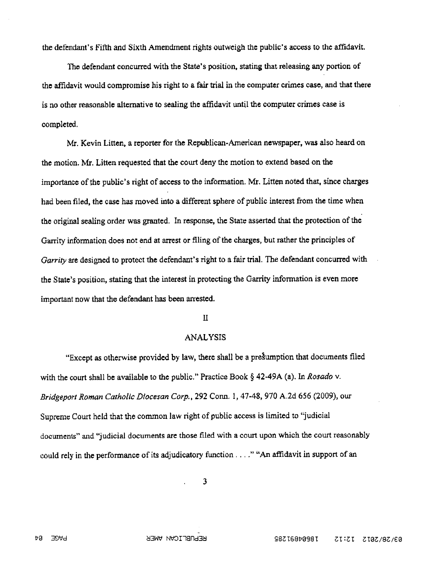the defendant's Fifth and Sixth Amendment rights outweigh the public's access to the affidavit.

The defendant concurred with the State's position, stating that releasing any portion of the affidavit would compromise his right to a fair trial in the computer crimes case, and that there is no other reasonable alternative to sealing the affidavit until the computer crimes case is completed.

Mr. Kevin Litten, a reporter for the Republican-American newspaper, was also heard on the motion. Mr. Litten requested that the cOurt deny the motion to extend based on the importance of the public's right of access to the information. Mr. Litten noted that, since charges had been filed, the case has moved into a different sphere of public interest from the time when the original sealing order was granted. In response, the State asserted that the protection of the Garrity information does not end at arrest or filing of the charges, but rather the principles of Garrity are designed to protect the defendant's right to a fair trial. The defendant concurred with the State's position, stating that the interest in protecting the Garrity information is even more important now that the defendant has been arrested.

## II

## ANALYSIS

"Except as otherwise provided by law, there shall be a presumption that documents filed with the court shall be available to the public." Practice Book  $\S$  42-49A (a). In Rosado v. Bridgeport Roman Catholic Diocesan Corp., 292 Conn. 1, 47-48, 970 A.2d 656 (2009), our Supreme Court held that the common law right of public access is limited to "judicial documents" and "judicial documents are those filed with a court upon which the court reasonably could rely in the performance of its adjudicatory function ...." "An affidavit in support of an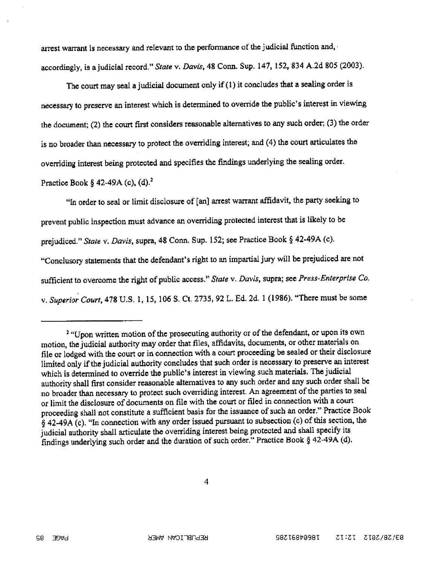arrest warrant is necessary and relevant to the performance of the judicial function and, accordingly, is a judicial record." State v. Davis, 48 Conn. Sup. 147, 152, 834 A.2d 805 (2003).

The court may seal a judicial document only if  $(1)$  it concludes that a sealing order is necessary to preserve an interest which is determined to override the public's interest in viewing the document; (2) the court first considers reasonable alternatives to any such order; (3) the order is no broader than necessary to protect the overriding interest; and (4) the court articulates the overriding interest being protected and specifies the findings underlying the sealing order. Practice Book § 42-49A (c),  $(d)$ .<sup>2</sup>

"In order to seal or limit disclosure of [an] arrest warrant affidavit, the party seeking to preven<sup>t</sup> public inspection must advance an overriding protected interest that is likely to be prejudiced." State v. Davis, supra, <sup>48</sup> Conn. Sup. 152; see Practice Book § 42-49A (c). "Conclusory statements that the defendant's right to an impartial jury will be prejudiced are not sufficient to overcome the right of public access." State v. Davis, supra; see Press-Enterprise Co. v. Superior Court, 478 U.S. 1, 15, 106 S. Ct. 2735, 92 L. Ed. 2d. 1 (1986). "There must be some

<sup>&</sup>lt;sup>2</sup> "Upon written motion of the prosecuting authority or of the defendant, or upon its own motion, the judicial authority may order that files, affidavits, documents, or other materials on file or lodged with the court or in connection with <sup>a</sup> court proceeding be sealed or their disclosure limited only if the judicial authority concludes that such order is necessary to preserve an interest which is determined to override the public's interest in viewing such materials. The judicial authority shall first consider reasonable alternatives to any such order and any such order shall be no broader than necessary to protect such overriding interest. An agreement of the parties to seal or limit the disclosure of documents on file with the court or filed in connection with <sup>a</sup> court proceeding shall not constitute a sufficient basis for the issuance of such an order." Practice Book  $§$  42-49A (c). "In connection with any order issued pursuant to subsection (c) of this section, the judicial authority shall articulate the overriding interest being protected and shall specify its findings underlying such order and the duration of such order." Practice Book § 42-49A (d).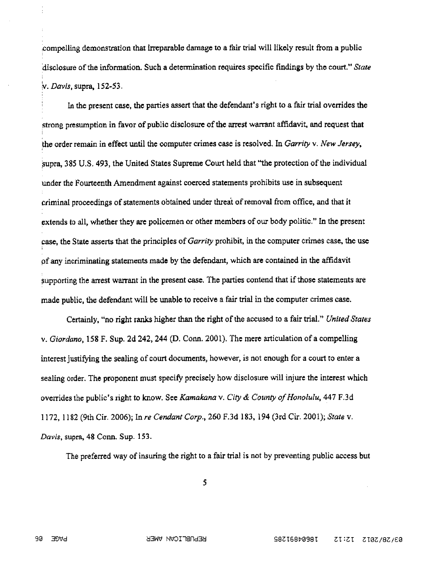compelling demonstration that irreparable damage to a fair trial will likely result from a public disclosure of the information. Such a determination requires specific findings by the court." State v. Davis, supra, 152-53.

In the present case, the parties assert that the defendant's right to a fair trial overrides the strong presumption in favor of public disclosure of the arrest warrant affidavit, and request that the order remain in effect until the computer crimes case is resolved. In Garrity  $v$ . New Jersey, supra, 385 U.S. 493, the United States Supreme Court held that "the protection of the individual under the Fourteenth Amendment against coerced statements prohibits use in subsequent criminal proceedings of statements obtained under threat of removal from office, and that it extends to all, whether they are policemen or other members of our body politic." In the present case, the State asserts that the principles of Garrizy prohibit, in the computer crimes case, the use f any incriminating statements made by the defendant, which are contained in the affidavit supporting the arrest warrant in the present case. The parties contend that if those statements are made public, the defendant will be unable to receive a fair trial in the computer crimes case.

Certainly, "no right ranks higher than the right of the accused to a fair trial." United States v. Giordano, 158 F. Sup. 2d 242, 244 (D. Conn. 2001). The mere articulation of a compelling interest justifying the sealing of court documents, however, is not enough for a court to enter a sealing order. The proponent must specify precisely how disclosure will injure the interest which overrides the public's right to know. See Kamakana v. City & County of Honolulu,  $447$  F.3d 1172, 1182 (9th Cir. 2006); In re Cendant Corp., 260 F.3d 183, 194 (3rd Cir. 2001); State v. Davis, supra, 48 Conn. Sup. 153.

The preferred way of insuring the right to a fair trial is not by preventing public access but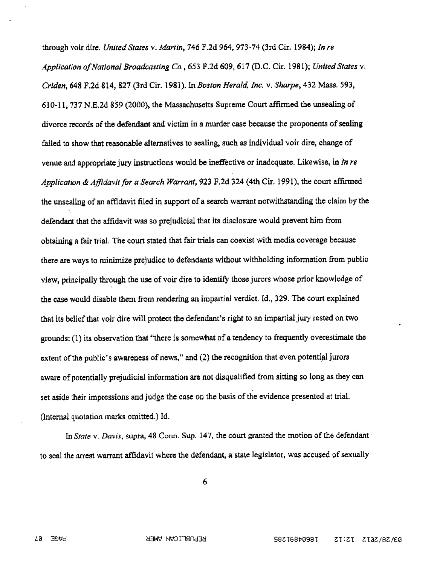through voir dire, United States v. Martin, 746 F.2d 964, 973-74 (3rd Cir. 1984); In re Application of National Broadcasting Co., 653 F.2d 609, 617 (D.C. Cir, 1981); United States v. Criden, 648 F.2d 814, 827 (3rd Cir. 1981). In Boston Herald, Inc. v. Sharpe, 432 Mass. 593, 610-11, 737 N.E.2d 859 (2000), the Massachusetts Supreme Court affirmed the unsealing of divorce records of the defendant and victim in a murder case because the proponents of sealing failed to show that reasonable alternatives to sealing, such as individual voir dire, change of venue and appropriate jury instructions would be ineffective or inadequate. Likewise, in In re Application & Affidavit for a Search Warrant, 923 F.2d 324 (4th Cir. 1991), the court affirmed the unsealing of an affidavit filed in support of a search warrant notwithstanding the claim by the defendant that the affidavit was so prejudicial that its disclosure would prevent him from obtaining a fair trial. The court stated that fair trials can Coexist with media coverage because there are ways to minimize prejudice to defendants without withholding information from public view, principally through the use of voir dire to identify those jurors whose prior knowledge of the case would disable them from rendering an impartial verdict. Id., 329. The court explained that its belief that voir dire will protect the defendant's right to an impartial jury rested on two grounds: (1) its observation that "there is somewhat of a tendency to frequently overestimate the extent of the public's awareness of news," and (2) the recognition that even potential jurors aware of potentially prejudicial information are not disqualified from sitting so long as they can set aside their impressions and judge the case on the basis of the evidence presented at trial. (Internal quotation marks omitted) Id.

In State v. Davis, supra, 48 Conn. Sup. 147, the court granted the motion of the defendant to seal the arrest warrant affidavit where the defendant, a state legislator, was accused of sexually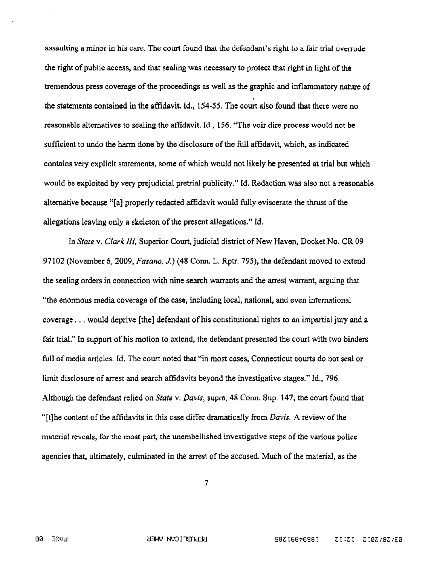assaulting a minor in his care. The court found that the defendant's right to a fair trial overrode the right of public access, and that sealing was necessary to protect that right in light of the tremendous press coverage of the proceedings as well as the graphic and inflammatory nature of the statements contained in the affidavit. 1d, 154-55. The court also found that there were no reasonable alternatives to sealing the affidavit. ld, 156. "The voir dire process would not be sufficient to undo the harm done by the disclosure of the full affidavit, which, as indicated contains very explicit statements, some of which would not likely be presented at trial but which would be exploited by very prejudicial pretrial publieity" Id. Redaction was also not a reasonable alternative because "[a] properly redacted affidavit would fully eviscerate the thrust of the allegations leaving only a skeleton of the present allegations." Id.

In State v. Clark III, Superior Court, judicial district of New Haven, Docket No. CR09 97102 (November 6, 2009, Fasano, J.) (48 Conn. L. Rptr. 795), the defendant moved to extend the sealing orders in connection with nine search warrants and the arrest warrant, arguing that "the enormous media coverage of the case, including local, national, and even international coverage. . . would deprive [the) defendant of his constitutional rights to an impartial jury and a fair trial," In support of his motion to extend, the defendant presented the court with two binders full of media articles. Id. The court noted that "in most cases, Connecticut courts do not seal or limit disclosure of arrest and search affidavits beyond the investigative stages." Id., 796. Although the defendant relied on State v. Davis, supra 48 Conn. Sup. 147, the court found that "[t]he content of the affidavits in this case differ dramatically from *Davis*. A review of the material reveals, for the most part, the unembellished investigative steps of the various police agencies that, ultimately, culminated in the arrest of the accused. Much of the material, as the

 $\overline{\phantom{a}}$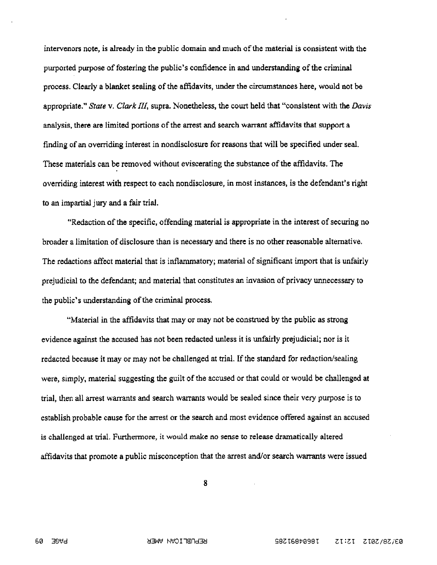intervenors note, is already in the public domain and much of the material is consistent with the purported purpose of fostering the public's confidence in and understanding of the criminal process. Clearly a blanket sealing of the affidavits, under the circumstances here, would not be appropriate." Stare v. Clark III, supra. Nonetheless, the court held that "consistent with the Davis analysis, there are limited portions of the arrest and search warrant affidavits that support a finding of an overriding interest in nondisclosure for reasons that will be specified under seal, These materials can be removed without eviscerating the substance of the affidavits. The overriding interest with respect to each nondisclosure, in mast instances, is the defendant's right to an impartial jury and a fair trial.

"Redaction of the specific, offending material is appropriate in the interest of securing no broader a limitation of disclosure than is necessary and there is no other reasonable alternative. The redactions affect material that is inflammatory; material of significant import that is unfairly prejudicial to the defendant; and material that constitutes an invasion of privacy unnecessary to the public's understanding of the criminal process.

"Material in the affidavits that may or may not be construed by the public as strong evidence against the accused has not been redacted unless it is unfairly prejudicial; nor is it redacted because it may or may not be challenged at trial. If the standard for redaction/sealing were, simply, material suggesting the guilt of the accused or that could or would be challenged at trial, then all arrest warrants and search warrants would be sealed since their very purpose is to establish probable cause for the arrest or the search and most evidence offered against an accused is challenged at trial. Furthermore, it would make no sense to release dramatically altered affidavits that promote a public misconception that the arrest and/or search warrants were issued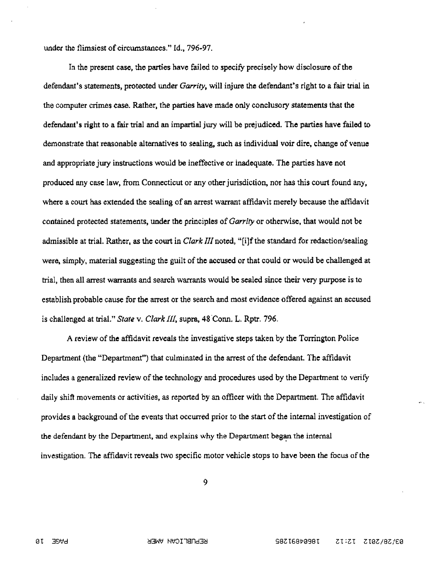under the flimsiest of circumstances," Id., 796-97,

In the present case, the parties have failed to specify precisely how disclosure of the defendant's statements, protected under Garrity, will injure the defendant's right to a fair trial in the computer crimes case. Rither, the parties have made only conclusory statements that the defendant's right to a fair trial and an impartial jury will be prejudiced. The parties have failed to demonstrate that reasonable alternatives to sealing, such as individual voir dire, change of venue and appropriate jury instructions would be ineffective or inadequate. The parties have not produced any case law, from Connecticut or any other jurisdiction, nor has this court found any, where a court has extended the sealing of an arrest warrant affidavit merely because the affidavit contained protected statements, under the principles of Garrity or otherwise, that would not be admissible at trial. Rather, as the court in *Clark III* noted, "[i]f the standard for redaction/sealing were, simply, material suggesting the guilt of the accused or that could or would be challenged at trial, then all arrest warrants and search warrants would be sealed since their very purpose is to establish probable cause for the arrest or the search and most evidence offered against an accused is challenged at trial," State v. Clark III, supra, 48 Conn. L. Rptr. 796.

A review of the affidavit reveals the investigative steps taken by the Torrington Police Department (the "Department") that culminated in the arrest of the defendant. The affidavit includes a generalized review of the technology and procedures used by the Department to verify daily shift movements or activities, as reported by an officer with the Department. The affidavit provides a background of the events that occurred prior to the start of the internal investigation of the defendant by the Department, and explains why the Department began the internal investigation. The affidavit reveals two specific motor vehicle stops to have been the focus of the